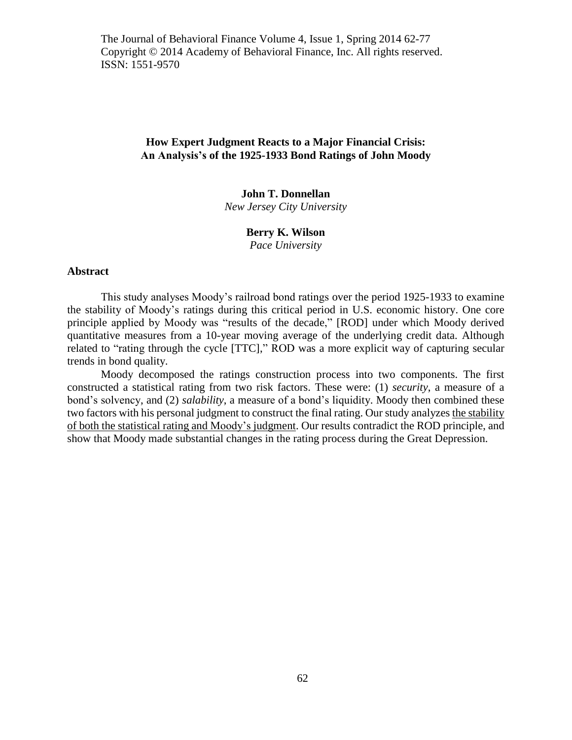The Journal of Behavioral Finance Volume 4, Issue 1, Spring 2014 62-77 Copyright © 2014 Academy of Behavioral Finance, Inc. All rights reserved. ISSN: 1551-9570

# **How Expert Judgment Reacts to a Major Financial Crisis: An Analysis's of the 1925-1933 Bond Ratings of John Moody**

# **John T. Donnellan**

*New Jersey City University*

# **Berry K. Wilson**

*Pace University*

## **Abstract**

This study analyses Moody's railroad bond ratings over the period 1925-1933 to examine the stability of Moody's ratings during this critical period in U.S. economic history. One core principle applied by Moody was "results of the decade," [ROD] under which Moody derived quantitative measures from a 10-year moving average of the underlying credit data. Although related to "rating through the cycle [TTC]," ROD was a more explicit way of capturing secular trends in bond quality.

Moody decomposed the ratings construction process into two components. The first constructed a statistical rating from two risk factors. These were: (1) *security*, a measure of a bond's solvency, and (2) *salability*, a measure of a bond's liquidity. Moody then combined these two factors with his personal judgment to construct the final rating. Our study analyzes the stability of both the statistical rating and Moody's judgment. Our results contradict the ROD principle, and show that Moody made substantial changes in the rating process during the Great Depression.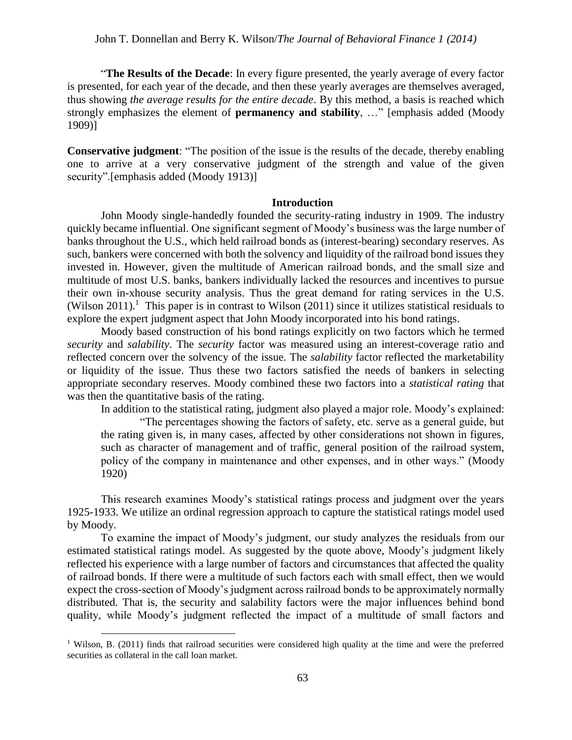"**The Results of the Decade**: In every figure presented, the yearly average of every factor is presented, for each year of the decade, and then these yearly averages are themselves averaged, thus showing *the average results for the entire decade*. By this method, a basis is reached which strongly emphasizes the element of **permanency and stability**, …" [emphasis added [\(Moody](#page-15-0)  [1909\)](#page-15-0)]

**Conservative judgment**: "The position of the issue is the results of the decade, thereby enabling one to arrive at a very conservative judgment of the strength and value of the given security".[emphasis added [\(Moody 1913\)](#page-15-1)]

## **Introduction**

John Moody single-handedly founded the security-rating industry in 1909. The industry quickly became influential. One significant segment of Moody's business was the large number of banks throughout the U.S., which held railroad bonds as (interest-bearing) secondary reserves. As such, bankers were concerned with both the solvency and liquidity of the railroad bond issues they invested in. However, given the multitude of American railroad bonds, and the small size and multitude of most U.S. banks, bankers individually lacked the resources and incentives to pursue their own in-xhouse security analysis. Thus the great demand for rating services in the U.S. [\(Wilson 2011\)](#page-15-2).<sup>1</sup> This paper is in contrast to Wilson (2011) since it utilizes statistical residuals to explore the expert judgment aspect that John Moody incorporated into his bond ratings.

Moody based construction of his bond ratings explicitly on two factors which he termed *security* and *salability*. The *security* factor was measured using an interest-coverage ratio and reflected concern over the solvency of the issue. The *salability* factor reflected the marketability or liquidity of the issue. Thus these two factors satisfied the needs of bankers in selecting appropriate secondary reserves. Moody combined these two factors into a *statistical rating* that was then the quantitative basis of the rating.

In addition to the statistical rating, judgment also played a major role. Moody's explained:

 "The percentages showing the factors of safety, etc. serve as a general guide, but the rating given is, in many cases, affected by other considerations not shown in figures, such as character of management and of traffic, general position of the railroad system, policy of the company in maintenance and other expenses, and in other ways." [\(Moody](#page-15-3)  [1920\)](#page-15-3)

This research examines Moody's statistical ratings process and judgment over the years 1925-1933. We utilize an ordinal regression approach to capture the statistical ratings model used by Moody.

To examine the impact of Moody's judgment, our study analyzes the residuals from our estimated statistical ratings model. As suggested by the quote above, Moody's judgment likely reflected his experience with a large number of factors and circumstances that affected the quality of railroad bonds. If there were a multitude of such factors each with small effect, then we would expect the cross-section of Moody's judgment across railroad bonds to be approximately normally distributed. That is, the security and salability factors were the major influences behind bond quality, while Moody's judgment reflected the impact of a multitude of small factors and

<sup>&</sup>lt;sup>1</sup> Wilson, B. (2011) finds that railroad securities were considered high quality at the time and were the preferred securities as collateral in the call loan market.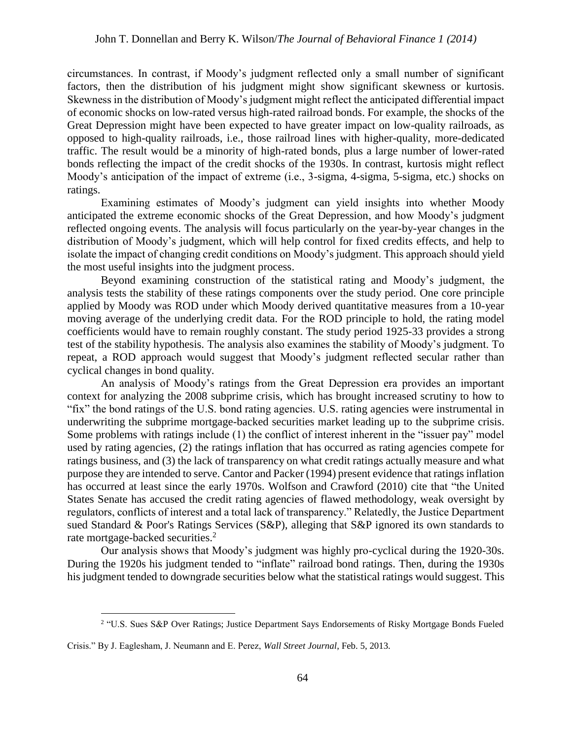circumstances. In contrast, if Moody's judgment reflected only a small number of significant factors, then the distribution of his judgment might show significant skewness or kurtosis. Skewness in the distribution of Moody's judgment might reflect the anticipated differential impact of economic shocks on low-rated versus high-rated railroad bonds. For example, the shocks of the Great Depression might have been expected to have greater impact on low-quality railroads, as opposed to high-quality railroads, i.e., those railroad lines with higher-quality, more-dedicated traffic. The result would be a minority of high-rated bonds, plus a large number of lower-rated bonds reflecting the impact of the credit shocks of the 1930s. In contrast, kurtosis might reflect Moody's anticipation of the impact of extreme (i.e., 3-sigma, 4-sigma, 5-sigma, etc.) shocks on ratings.

Examining estimates of Moody's judgment can yield insights into whether Moody anticipated the extreme economic shocks of the Great Depression, and how Moody's judgment reflected ongoing events. The analysis will focus particularly on the year-by-year changes in the distribution of Moody's judgment, which will help control for fixed credits effects, and help to isolate the impact of changing credit conditions on Moody's judgment. This approach should yield the most useful insights into the judgment process.

Beyond examining construction of the statistical rating and Moody's judgment, the analysis tests the stability of these ratings components over the study period. One core principle applied by Moody was ROD under which Moody derived quantitative measures from a 10-year moving average of the underlying credit data. For the ROD principle to hold, the rating model coefficients would have to remain roughly constant. The study period 1925-33 provides a strong test of the stability hypothesis. The analysis also examines the stability of Moody's judgment. To repeat, a ROD approach would suggest that Moody's judgment reflected secular rather than cyclical changes in bond quality.

An analysis of Moody's ratings from the Great Depression era provides an important context for analyzing the 2008 subprime crisis, which has brought increased scrutiny to how to "fix" the bond ratings of the U.S. bond rating agencies. U.S. rating agencies were instrumental in underwriting the subprime mortgage-backed securities market leading up to the subprime crisis. Some problems with ratings include (1) the conflict of interest inherent in the "issuer pay" model used by rating agencies, (2) the ratings inflation that has occurred as rating agencies compete for ratings business, and (3) the lack of transparency on what credit ratings actually measure and what purpose they are intended to serve. Cantor and Packer (1994) present evidence that ratings inflation has occurred at least since the early 1970s. Wolfson and Crawford (2010) cite that "the United States Senate has accused the credit rating agencies of flawed methodology, weak oversight by regulators, conflicts of interest and a total lack of transparency." Relatedly, the Justice Department sued Standard & Poor's Ratings Services (S&P), alleging that S&P ignored its own standards to rate mortgage-backed securities.<sup>2</sup>

Our analysis shows that Moody's judgment was highly pro-cyclical during the 1920-30s. During the 1920s his judgment tended to "inflate" railroad bond ratings. Then, during the 1930s his judgment tended to downgrade securities below what the statistical ratings would suggest. This

<sup>&</sup>lt;sup>2</sup> "U.S. Sues S&P Over Ratings; Justice Department Says Endorsements of Risky Mortgage Bonds Fueled

Crisis." By J. Eaglesham, J. Neumann and E. Perez, *Wall Street Journal*, Feb. 5, 2013.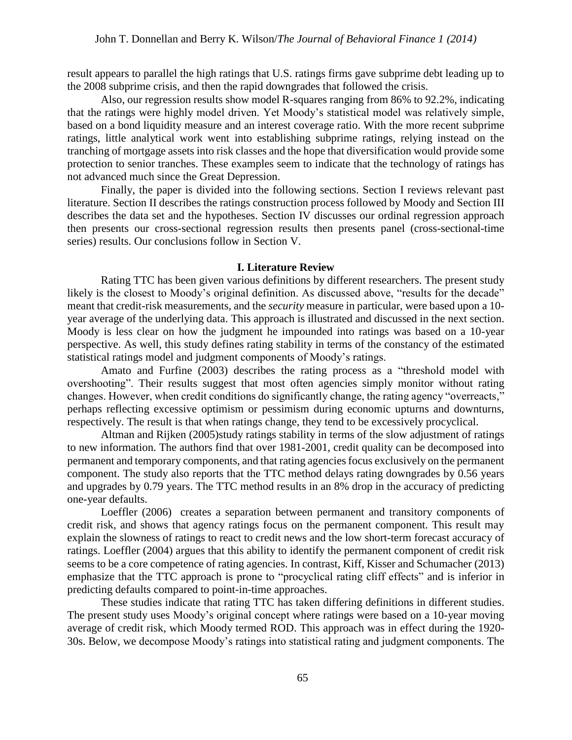result appears to parallel the high ratings that U.S. ratings firms gave subprime debt leading up to the 2008 subprime crisis, and then the rapid downgrades that followed the crisis.

Also, our regression results show model R-squares ranging from 86% to 92.2%, indicating that the ratings were highly model driven. Yet Moody's statistical model was relatively simple, based on a bond liquidity measure and an interest coverage ratio. With the more recent subprime ratings, little analytical work went into establishing subprime ratings, relying instead on the tranching of mortgage assets into risk classes and the hope that diversification would provide some protection to senior tranches. These examples seem to indicate that the technology of ratings has not advanced much since the Great Depression.

Finally, the paper is divided into the following sections. Section I reviews relevant past literature. Section II describes the ratings construction process followed by Moody and Section III describes the data set and the hypotheses. Section IV discusses our ordinal regression approach then presents our cross-sectional regression results then presents panel (cross-sectional-time series) results. Our conclusions follow in Section V.

## **I. Literature Review**

Rating TTC has been given various definitions by different researchers. The present study likely is the closest to Moody's original definition. As discussed above, "results for the decade" meant that credit-risk measurements, and the *security* measure in particular, were based upon a 10 year average of the underlying data. This approach is illustrated and discussed in the next section. Moody is less clear on how the judgment he impounded into ratings was based on a 10-year perspective. As well, this study defines rating stability in terms of the constancy of the estimated statistical ratings model and judgment components of Moody's ratings.

Amato and Furfine [\(2003\)](#page-15-4) describes the rating process as a "threshold model with overshooting". Their results suggest that most often agencies simply monitor without rating changes. However, when credit conditions do significantly change, the rating agency "overreacts," perhaps reflecting excessive optimism or pessimism during economic upturns and downturns, respectively. The result is that when ratings change, they tend to be excessively procyclical.

Altman and Rijken [\(2005\)](#page-15-5)study ratings stability in terms of the slow adjustment of ratings to new information. The authors find that over 1981-2001, credit quality can be decomposed into permanent and temporary components, and that rating agencies focus exclusively on the permanent component. The study also reports that the TTC method delays rating downgrades by 0.56 years and upgrades by 0.79 years. The TTC method results in an 8% drop in the accuracy of predicting one-year defaults.

Loeffler [\(2006\)](#page-15-6) creates a separation between permanent and transitory components of credit risk, and shows that agency ratings focus on the permanent component. This result may explain the slowness of ratings to react to credit news and the low short-term forecast accuracy of ratings. Loeffler [\(2004\)](#page-15-7) argues that this ability to identify the permanent component of credit risk seems to be a core competence of rating agencies. In contrast, Kiff, Kisser and Schumacher [\(2013\)](#page-15-8) emphasize that the TTC approach is prone to "procyclical rating cliff effects" and is inferior in predicting defaults compared to point-in-time approaches.

These studies indicate that rating TTC has taken differing definitions in different studies. The present study uses Moody's original concept where ratings were based on a 10-year moving average of credit risk, which Moody termed ROD. This approach was in effect during the 1920- 30s. Below, we decompose Moody's ratings into statistical rating and judgment components. The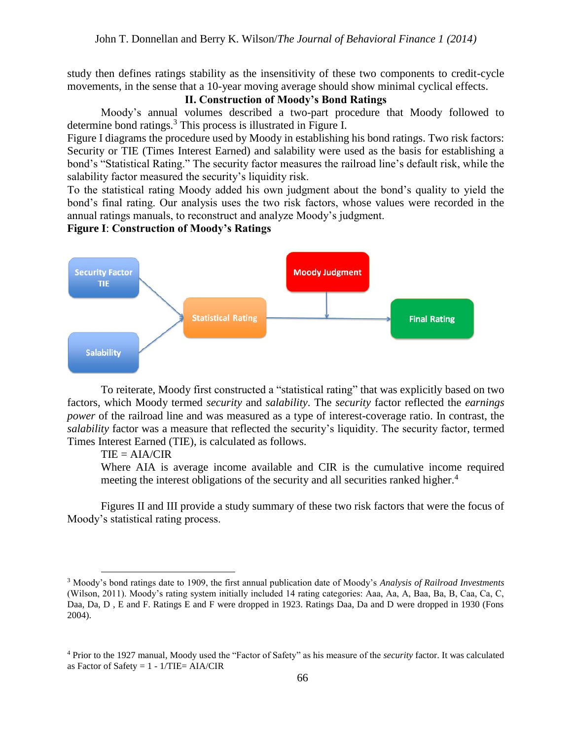study then defines ratings stability as the insensitivity of these two components to credit-cycle movements, in the sense that a 10-year moving average should show minimal cyclical effects.

## **II. Construction of Moody's Bond Ratings**

Moody's annual volumes described a two-part procedure that Moody followed to determine bond ratings. <sup>3</sup> This process is illustrated in Figure I.

Figure I diagrams the procedure used by Moody in establishing his bond ratings. Two risk factors: Security or TIE (Times Interest Earned) and salability were used as the basis for establishing a bond's "Statistical Rating." The security factor measures the railroad line's default risk, while the salability factor measured the security's liquidity risk.

To the statistical rating Moody added his own judgment about the bond's quality to yield the bond's final rating. Our analysis uses the two risk factors, whose values were recorded in the annual ratings manuals, to reconstruct and analyze Moody's judgment.

# **Figure I**: **Construction of Moody's Ratings**



To reiterate, Moody first constructed a "statistical rating" that was explicitly based on two factors, which Moody termed *security* and *salability*. The *security* factor reflected the *earnings power* of the railroad line and was measured as a type of interest-coverage ratio. In contrast, the *salability* factor was a measure that reflected the security's liquidity. The security factor, termed Times Interest Earned (TIE), is calculated as follows.

#### $TIE = AIA/CIR$

 $\overline{a}$ 

Where AIA is average income available and CIR is the cumulative income required meeting the interest obligations of the security and all securities ranked higher.<sup>4</sup>

Figures II and III provide a study summary of these two risk factors that were the focus of Moody's statistical rating process.

<sup>3</sup> Moody's bond ratings date to 1909, the first annual publication date of Moody's *Analysis of Railroad Investments* (Wilson, 2011). Moody's rating system initially included 14 rating categories: Aaa, Aa, A, Baa, Ba, B, Caa, Ca, C, Daa, Da, D , E and F. Ratings E and F were dropped in 1923. Ratings Daa, Da and D were dropped in 1930 (Fons 2004).

<sup>4</sup> Prior to the 1927 manual, Moody used the "Factor of Safety" as his measure of the *security* factor. It was calculated as Factor of Safety =  $1 - 1/TIE = AIA/CIR$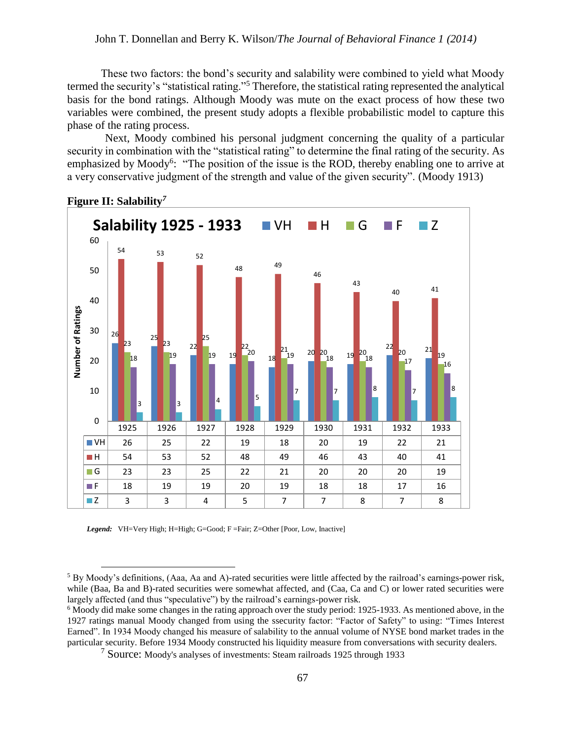## John T. Donnellan and Berry K. Wilson/*The Journal of Behavioral Finance 1 (2014)*

These two factors: the bond's security and salability were combined to yield what Moody termed the security's "statistical rating."<sup>5</sup> Therefore, the statistical rating represented the analytical basis for the bond ratings. Although Moody was mute on the exact process of how these two variables were combined, the present study adopts a flexible probabilistic model to capture this phase of the rating process.

Next, Moody combined his personal judgment concerning the quality of a particular security in combination with the "statistical rating" to determine the final rating of the security. As emphasized by Moody<sup>6</sup>: "The position of the issue is the ROD, thereby enabling one to arrive at a very conservative judgment of the strength and value of the given security". [\(Moody 1913\)](#page-15-1)



## **Figure II: Salability***<sup>7</sup>*

*Legend:* VH=Very High; H=High; G=Good; F =Fair; Z=Other [Poor, Low, Inactive]

<sup>5</sup> By Moody's definitions, (Aaa, Aa and A)-rated securities were little affected by the railroad's earnings-power risk, while (Baa, Ba and B)-rated securities were somewhat affected, and (Caa, Ca and C) or lower rated securities were largely affected (and thus "speculative") by the railroad's earnings-power risk.

<sup>6</sup> Moody did make some changes in the rating approach over the study period: 1925-1933. As mentioned above, in the 1927 ratings manual Moody changed from using the ssecurity factor: "Factor of Safety" to using: "Times Interest Earned". In 1934 Moody changed his measure of salability to the annual volume of NYSE bond market trades in the particular security. Before 1934 Moody constructed his liquidity measure from conversations with security dealers.

<sup>7</sup> Source: Moody's analyses of investments: Steam railroads 1925 through 1933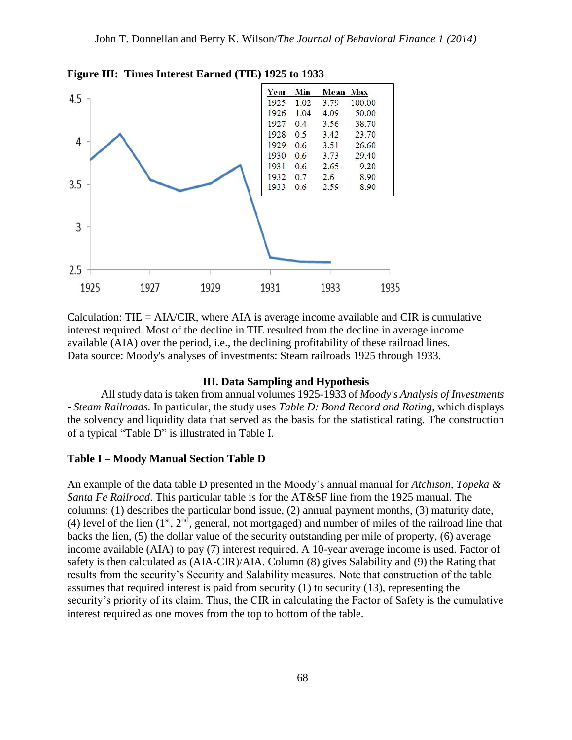

**Figure III: Times Interest Earned (TIE) 1925 to 1933**

Calculation: TIE =  $AIA/CIR$ , where  $AIA$  is average income available and CIR is cumulative interest required. Most of the decline in TIE resulted from the decline in average income available (AIA) over the period, i.e., the declining profitability of these railroad lines. Data source: Moody's analyses of investments: Steam railroads 1925 through 1933.

# **III. Data Sampling and Hypothesis**

All study data is taken from annual volumes 1925-1933 of *Moody's Analysis of Investments - Steam Railroads.* In particular, the study uses *Table D: Bond Record and Rating*, which displays the solvency and liquidity data that served as the basis for the statistical rating. The construction of a typical "Table D" is illustrated in Table I.

#### **Table I – Moody Manual Section Table D**

An example of the data table D presented in the Moody's annual manual for *Atchison, Topeka & Santa Fe Railroad*. This particular table is for the AT&SF line from the 1925 manual. The columns: (1) describes the particular bond issue, (2) annual payment months, (3) maturity date, (4) level of the lien  $(1^{st}, 2^{nd},$  general, not mortgaged) and number of miles of the railroad line that backs the lien, (5) the dollar value of the security outstanding per mile of property, (6) average income available (AIA) to pay (7) interest required. A 10-year average income is used. Factor of safety is then calculated as (AIA-CIR)/AIA. Column (8) gives Salability and (9) the Rating that results from the security's Security and Salability measures. Note that construction of the table assumes that required interest is paid from security (1) to security (13), representing the security's priority of its claim. Thus, the CIR in calculating the Factor of Safety is the cumulative interest required as one moves from the top to bottom of the table.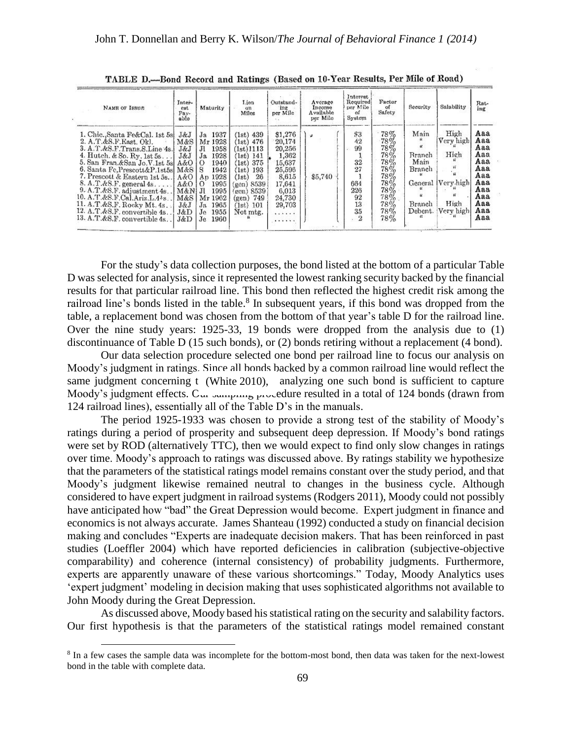| NAME OF ISSUE                                                                                                                                                                                                                                                                                                                                                                                                                                                                | Inter-<br>est.<br>$Pav-$<br>able                                       | Maturity                                                                                                                                                                                  | Lien<br>on<br>Miles                                                                                                                                                            | Outstand-<br>ing<br>per Mile                                                                                      | Average<br>Income<br>Available<br>per Mile | Interest<br>Required<br>per Mile<br>of<br>System                              | Factor<br>of<br>Safety                                                                  | Security                                                         | Salability                                                   | Rat-<br>ing                                                                             |
|------------------------------------------------------------------------------------------------------------------------------------------------------------------------------------------------------------------------------------------------------------------------------------------------------------------------------------------------------------------------------------------------------------------------------------------------------------------------------|------------------------------------------------------------------------|-------------------------------------------------------------------------------------------------------------------------------------------------------------------------------------------|--------------------------------------------------------------------------------------------------------------------------------------------------------------------------------|-------------------------------------------------------------------------------------------------------------------|--------------------------------------------|-------------------------------------------------------------------------------|-----------------------------------------------------------------------------------------|------------------------------------------------------------------|--------------------------------------------------------------|-----------------------------------------------------------------------------------------|
| 1. Chic.,Santa Fe&Cal. 1st 5sl<br>2. A.T.d.S.F.East.Ok.<br>3. A.T.&S.F.Trans.S.Line 4s.<br>4. Hutch. & So. Ry. 1st 5s<br>5. San Fran. & San Jo. V. 1st 5s A&O<br>6. Santa Fe, Prescott&P.1st5s  M&S   S<br>7. Prescott & Eastern 1st 5s. 1<br>$8. A.T.d.$ $8.$ $F.$ general $4s.$ $A&O$<br>9. A.T.&S.F. adjustment 4s. .   M&N  Jl<br>10. A.T.&S.F.Cal.Ariz.L.4 <sup>4</sup> 8<br>11. A.T.&S.F. Rocky Mt. 4s<br>12. A.T.&S.F. convertible 4s<br>13. A.T.&S.F. convertible 4s | J&J<br>M&S<br>J&J<br>J&J<br>A&O<br>$M\&S$<br>J&J<br>J&D<br><b>J</b> &D | 1937<br>Ja<br>Mr 1928<br>$_{\rm H}$<br>1958<br>1928<br>Ja<br>1940<br>$\cup$<br>1942<br>1928<br>An.<br>1995<br>$\Omega$<br>1995<br>Mr 1962<br>$J_{R}$<br>1965<br>1955<br>Je<br>1960<br>Je. | $(1st)$ 439<br>$(1st)$ 476<br>(1st)1113<br>$1st)$ $141$<br>375<br>(1st)<br>193<br>(1st)<br>26<br>(1st)<br>(gen) 8539<br>(gen) 8539<br>749<br>(gen)<br>101<br>(1st)<br>Not mtg. | \$1,276<br>20,174<br>20,256<br>1,362<br>15,637<br>25,596<br>8,615<br>17,641<br>6,013<br>24,730<br>29,703<br><br>. | \$5,740                                    | \$3<br>42<br>99<br>32<br>27<br>664<br>226<br>92<br>13<br>35<br>$\overline{2}$ | 78%<br>78%<br>78%<br>78%<br>78%<br>78%<br>78%<br>78%<br>78%<br>78%<br>78%<br>78%<br>78% | Main<br>Branch<br>Main<br>Branch<br>General<br>Branch<br>Debent. | High<br>Very high<br>Hich<br>lVery high<br>High<br>Very high | Aaa<br>Aaa<br>Aaa<br>Aaa<br>Aaa<br>Aaa<br>Aaa<br>Aaa<br>Aaa<br>Aaa<br>Aaa<br>Aaa<br>Aaa |

TABLE D.-Bond Record and Ratings (Based on 10-Year Results, Per Mile of Road)

For the study's data collection purposes, the bond listed at the bottom of a particular Table D was selected for analysis, since it represented the lowest ranking security backed by the financial results for that particular railroad line. This bond then reflected the highest credit risk among the railroad line's bonds listed in the table.<sup>8</sup> In subsequent years, if this bond was dropped from the table, a replacement bond was chosen from the bottom of that year's table D for the railroad line. Over the nine study years: 1925-33, 19 bonds were dropped from the analysis due to (1) discontinuance of Table D (15 such bonds), or (2) bonds retiring without a replacement (4 bond).

Our data selection procedure selected one bond per railroad line to focus our analysis on Moody's judgment in ratings. Since all bonds backed by a common railroad line would reflect the same judgment concerning t (White 2010), analyzing one such bond is sufficient to capture Moody's judgment effects. Our sampling procedure resulted in a total of 124 bonds (drawn from 124 railroad lines), essentially all of the Table D's in the manuals.

The period 1925-1933 was chosen to provide a strong test of the stability of Moody's ratings during a period of prosperity and subsequent deep depression. If Moody's bond ratings were set by ROD (alternatively TTC), then we would expect to find only slow changes in ratings over time. Moody's approach to ratings was discussed above. By ratings stability we hypothesize that the parameters of the statistical ratings model remains constant over the study period, and that Moody's judgment likewise remained neutral to changes in the business cycle. Although considered to have expert judgment in railroad systems [\(Rodgers 2011\)](#page-15-9), Moody could not possibly have anticipated how "bad" the Great Depression would become. Expert judgment in finance and economics is not always accurate. James Shanteau [\(1992\)](#page-15-10) conducted a study on financial decision making and concludes "Experts are inadequate decision makers. That has been reinforced in past studies [\(Loeffler 2004\)](#page-15-7) which have reported deficiencies in calibration (subjective-objective comparability) and coherence (internal consistency) of probability judgments. Furthermore, experts are apparently unaware of these various shortcomings." Today, Moody Analytics uses 'expert judgment' modeling in decision making that uses sophisticated algorithms not available to John Moody during the Great Depression.

As discussed above, Moody based his statistical rating on the security and salability factors. Our first hypothesis is that the parameters of the statistical ratings model remained constant

<sup>&</sup>lt;sup>8</sup> In a few cases the sample data was incomplete for the bottom-most bond, then data was taken for the next-lowest bond in the table with complete data.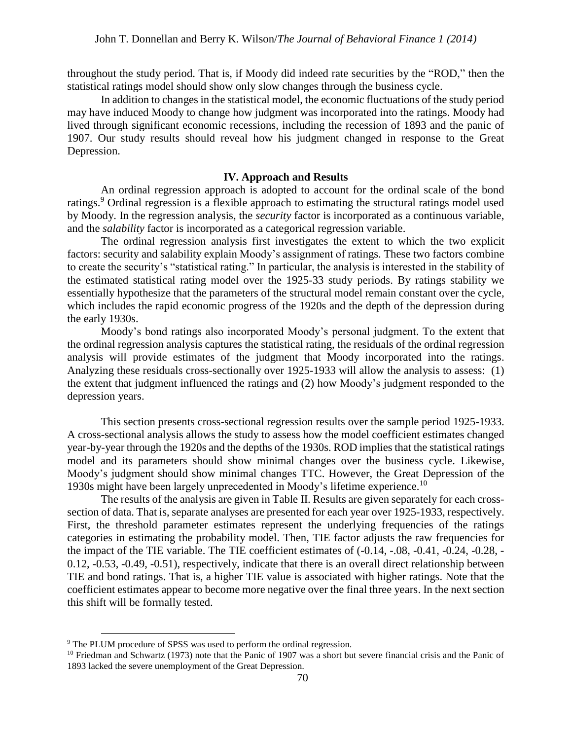throughout the study period. That is, if Moody did indeed rate securities by the "ROD," then the statistical ratings model should show only slow changes through the business cycle.

In addition to changes in the statistical model, the economic fluctuations of the study period may have induced Moody to change how judgment was incorporated into the ratings. Moody had lived through significant economic recessions, including the recession of 1893 and the panic of 1907. Our study results should reveal how his judgment changed in response to the Great Depression.

## **IV. Approach and Results**

An ordinal regression approach is adopted to account for the ordinal scale of the bond ratings.<sup>9</sup> Ordinal regression is a flexible approach to estimating the structural ratings model used by Moody. In the regression analysis, the *security* factor is incorporated as a continuous variable, and the *salability* factor is incorporated as a categorical regression variable.

The ordinal regression analysis first investigates the extent to which the two explicit factors: security and salability explain Moody's assignment of ratings. These two factors combine to create the security's "statistical rating." In particular, the analysis is interested in the stability of the estimated statistical rating model over the 1925-33 study periods. By ratings stability we essentially hypothesize that the parameters of the structural model remain constant over the cycle, which includes the rapid economic progress of the 1920s and the depth of the depression during the early 1930s.

Moody's bond ratings also incorporated Moody's personal judgment. To the extent that the ordinal regression analysis captures the statistical rating, the residuals of the ordinal regression analysis will provide estimates of the judgment that Moody incorporated into the ratings. Analyzing these residuals cross-sectionally over 1925-1933 will allow the analysis to assess: (1) the extent that judgment influenced the ratings and (2) how Moody's judgment responded to the depression years.

This section presents cross-sectional regression results over the sample period 1925-1933. A cross-sectional analysis allows the study to assess how the model coefficient estimates changed year-by-year through the 1920s and the depths of the 1930s. ROD implies that the statistical ratings model and its parameters should show minimal changes over the business cycle. Likewise, Moody's judgment should show minimal changes TTC. However, the Great Depression of the 1930s might have been largely unprecedented in Moody's lifetime experience. 10

The results of the analysis are given in Table II. Results are given separately for each crosssection of data. That is, separate analyses are presented for each year over 1925-1933, respectively. First, the threshold parameter estimates represent the underlying frequencies of the ratings categories in estimating the probability model. Then, TIE factor adjusts the raw frequencies for the impact of the TIE variable. The TIE coefficient estimates of (-0.14, -.08, -0.41, -0.24, -0.28, - 0.12, -0.53, -0.49, -0.51), respectively, indicate that there is an overall direct relationship between TIE and bond ratings. That is, a higher TIE value is associated with higher ratings. Note that the coefficient estimates appear to become more negative over the final three years. In the next section this shift will be formally tested.

<sup>9</sup> The PLUM procedure of SPSS was used to perform the ordinal regression.

 $10$  Friedman and Schwartz (1973) note that the Panic of 1907 was a short but severe financial crisis and the Panic of 1893 lacked the severe unemployment of the Great Depression.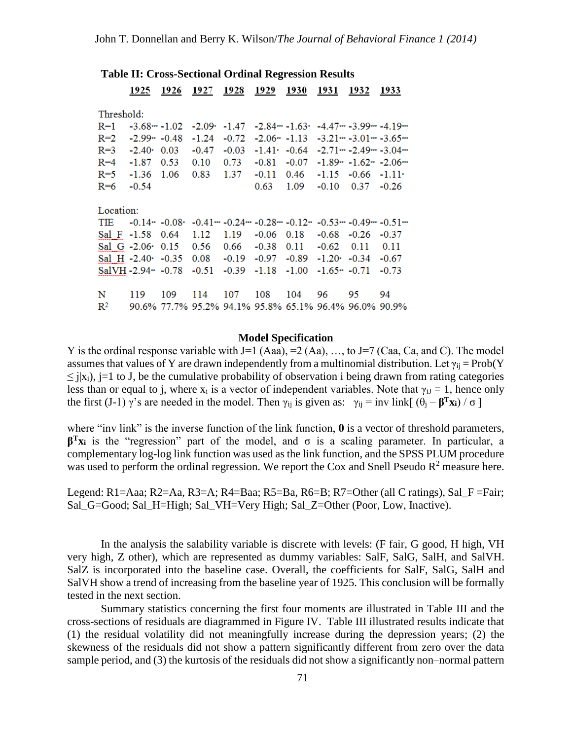|                            | 1925                  | 1926    | 1927              | 1928    | 1929                                                        | 1930    | 1931                | 1932           | 1933                        |
|----------------------------|-----------------------|---------|-------------------|---------|-------------------------------------------------------------|---------|---------------------|----------------|-----------------------------|
| Threshold:                 |                       |         |                   |         |                                                             |         |                     |                |                             |
| $R=1$                      | $-3.68 - -1.02$       |         | $-2.09$           | $-1.47$ | $-2.84$ $-1.63$                                             |         |                     |                | $-4.47$ $-3.99$ $-4.19$ $-$ |
| $R=2$                      | $-2.99 - 0.48$        |         | $-1.24$           | $-0.72$ | $-2.06 - 1.13$                                              |         |                     |                | $-3.21 - -3.01 - -3.65 -$   |
| $R=3$                      | $-2.40$               | 0.03    | $-0.47$           | $-0.03$ | $-1.41 \cdot -0.64$                                         |         |                     |                | $-2.71$ $-2.49$ $-3.04$ $-$ |
| $R = 4$                    | $-1.87$               | 0.53    | 0.10              | 0.73    | $-0.81$                                                     | $-0.07$ |                     |                | $-1.89 - 1.62 - 2.06$       |
| $R=5$                      | $-1.36$               | 1.06    | 0.83              | 1.37    | $-0.11$                                                     | 0.46    |                     | $-1.15 - 0.66$ | $-1.11$                     |
| $R=6$                      | $-0.54$               |         |                   |         | 0.63                                                        | 1.09    | $-0.10$             | 0.37           | $-0.26$                     |
|                            |                       |         |                   |         |                                                             |         |                     |                |                             |
| Location:                  |                       |         |                   |         |                                                             |         |                     |                |                             |
| <b>TIE</b>                 | $-0.14 - 0.08$        |         |                   |         | $-0.41$ $-0.24$ $-0.28$ $-0.12$ $-0.53$ $-0.49$ $-0.51$ $-$ |         |                     |                |                             |
| Sal F                      | $-1.58$               | 0.64    | 1.12              | 1.19    | $-0.06$                                                     | 0.18    | $-0.68$             | $-0.26$        | $-0.37$                     |
| Sal G $-2.06$              |                       | 0.15    | 0.56              | 0.66    | $-0.38$                                                     | 0.11    | $-0.62$             | 0.11           | 0.11                        |
| Sal H $-2.40$ <sup>*</sup> |                       | $-0.35$ | 0.08              | $-0.19$ | $-0.97$                                                     | $-0.89$ | $-1.20 \cdot -0.34$ |                | $-0.67$                     |
|                            | $SalVH - 2.94 - 0.78$ |         | $-0.51$           | $-0.39$ | $-1.18$                                                     | $-1.00$ | $-1.65 - 0.71$      |                | $-0.73$                     |
|                            |                       |         |                   |         |                                                             |         |                     |                |                             |
| N                          | 119                   | 109     | 114               | 107     | 108                                                         | 104     | 96                  | 95             | 94                          |
| $\mathbb{R}^2$             |                       |         | 90.6% 77.7% 95.2% |         | 94.1% 95.8% 65.1% 96.4% 96.0% 90.9%                         |         |                     |                |                             |
|                            |                       |         |                   |         |                                                             |         |                     |                |                             |

## **Table II: Cross-Sectional Ordinal Regression Results**

#### **Model Specification**

Y is the ordinal response variable with J=1 (Aaa), =2 (Aa), ..., to J=7 (Caa, Ca, and C). The model assumes that values of Y are drawn independently from a multinomial distribution. Let  $\gamma_{ii} = Prob(Y$  $\langle i|x_i\rangle$ , j=1 to J, be the cumulative probability of observation i being drawn from rating categories less than or equal to j, where  $x_i$  is a vector of independent variables. Note that  $\gamma_{iJ} = 1$ , hence only the first (J-1)  $\gamma$ 's are needed in the model. Then  $\gamma_{ij}$  is given as:  $\gamma_{ij} = inv$  link[  $(\theta_j - \beta^T x_i) / \sigma$ ]

where "inv link" is the inverse function of the link function, **θ** is a vector of threshold parameters, **β<sup>T</sup>xi** is the "regression" part of the model, and  $\sigma$  is a scaling parameter. In particular, a complementary log-log link function was used as the link function, and the SPSS PLUM procedure was used to perform the ordinal regression. We report the Cox and Snell Pseudo  $R^2$  measure here.

Legend:  $R1 = Aaa$ ;  $R2 = Aa$ ,  $R3 = A$ ;  $R4 = Baa$ ;  $R5 = Ba$ ,  $R6 = B$ ;  $R7 = Other$  (all C ratings), Sal  $F = Fair$ ; Sal\_G=Good; Sal\_H=High; Sal\_VH=Very High; Sal\_Z=Other (Poor, Low, Inactive).

In the analysis the salability variable is discrete with levels: (F fair, G good, H high, VH very high, Z other), which are represented as dummy variables: SalF, SalG, SalH, and SalVH. SalZ is incorporated into the baseline case. Overall, the coefficients for SalF, SalG, SalH and SalVH show a trend of increasing from the baseline year of 1925. This conclusion will be formally tested in the next section.

Summary statistics concerning the first four moments are illustrated in Table III and the cross-sections of residuals are diagrammed in Figure IV. Table III illustrated results indicate that (1) the residual volatility did not meaningfully increase during the depression years; (2) the skewness of the residuals did not show a pattern significantly different from zero over the data sample period, and (3) the kurtosis of the residuals did not show a significantly non–normal pattern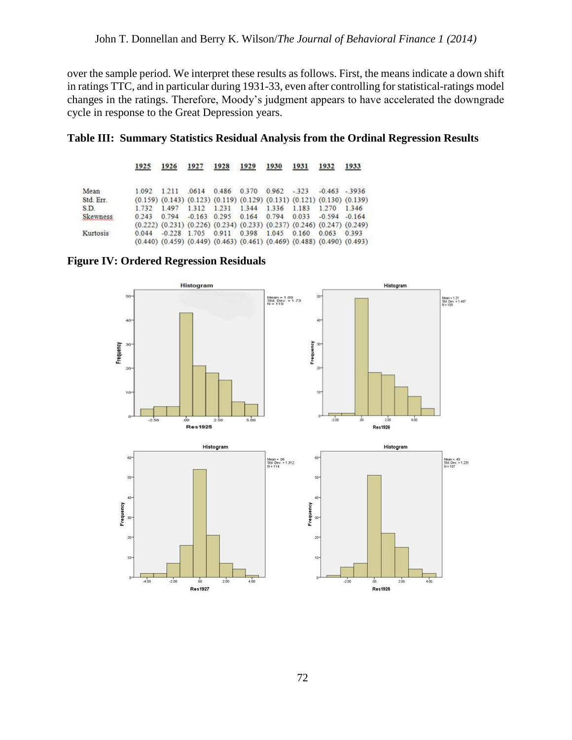over the sample period. We interpret these results as follows. First, the means indicate a down shift in ratings TTC, and in particular during 1931-33, even after controlling for statistical-ratings model changes in the ratings. Therefore, Moody's judgment appears to have accelerated the downgrade cycle in response to the Great Depression years.



|           | 1925  | 1926  | 1927  | 1928                                         | 1929 | 1930  | 1931   | 1932                                                                                      | 1933                                                                                      |
|-----------|-------|-------|-------|----------------------------------------------|------|-------|--------|-------------------------------------------------------------------------------------------|-------------------------------------------------------------------------------------------|
| Mean      | 1.092 | 1.211 | .0614 | 0.486 0.370                                  |      | 0.962 | $-323$ | $-0.463 - 3936$                                                                           |                                                                                           |
| Std. Err. |       |       |       |                                              |      |       |        | $(0.159)$ $(0.143)$ $(0.123)$ $(0.119)$ $(0.129)$ $(0.131)$ $(0.121)$ $(0.130)$ $(0.139)$ |                                                                                           |
| S.D.      | 1.732 |       |       | 1.497 1.312 1.231 1.344 1.336 1.183          |      |       |        | 1.270 1.346                                                                               |                                                                                           |
| Skewness  | 0.243 |       |       |                                              |      |       |        | 0.794 -0.163 0.295 0.164 0.794 0.033 -0.594 -0.164                                        |                                                                                           |
|           |       |       |       |                                              |      |       |        | $(0.222)$ $(0.231)$ $(0.226)$ $(0.234)$ $(0.233)$ $(0.237)$ $(0.246)$ $(0.247)$ $(0.249)$ |                                                                                           |
| Kurtosis  | 0.044 |       |       | $-0.228$ 1.705 0.911 0.398 1.045 0.160 0.063 |      |       |        |                                                                                           | 0.393                                                                                     |
|           |       |       |       |                                              |      |       |        |                                                                                           | $(0.440)$ $(0.459)$ $(0.449)$ $(0.463)$ $(0.461)$ $(0.469)$ $(0.488)$ $(0.490)$ $(0.493)$ |

**Figure IV: Ordered Regression Residuals**

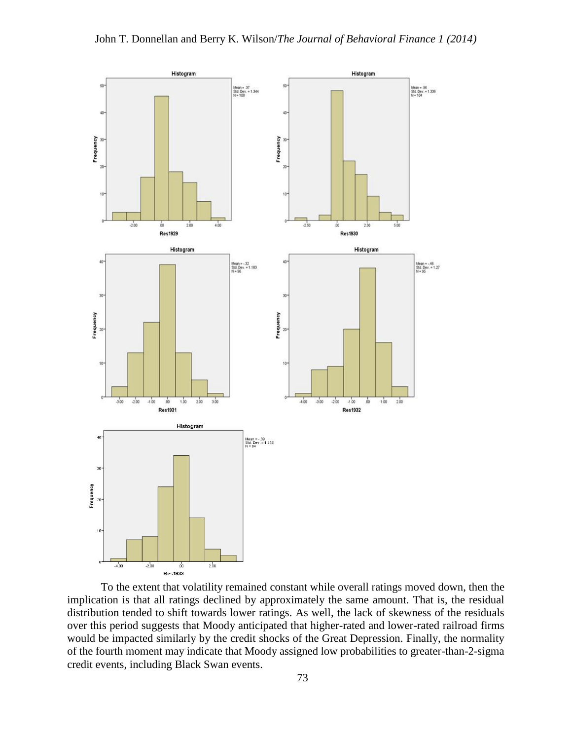

To the extent that volatility remained constant while overall ratings moved down, then the implication is that all ratings declined by approximately the same amount. That is, the residual distribution tended to shift towards lower ratings. As well, the lack of skewness of the residuals over this period suggests that Moody anticipated that higher-rated and lower-rated railroad firms would be impacted similarly by the credit shocks of the Great Depression. Finally, the normality of the fourth moment may indicate that Moody assigned low probabilities to greater-than-2-sigma credit events, including Black Swan events.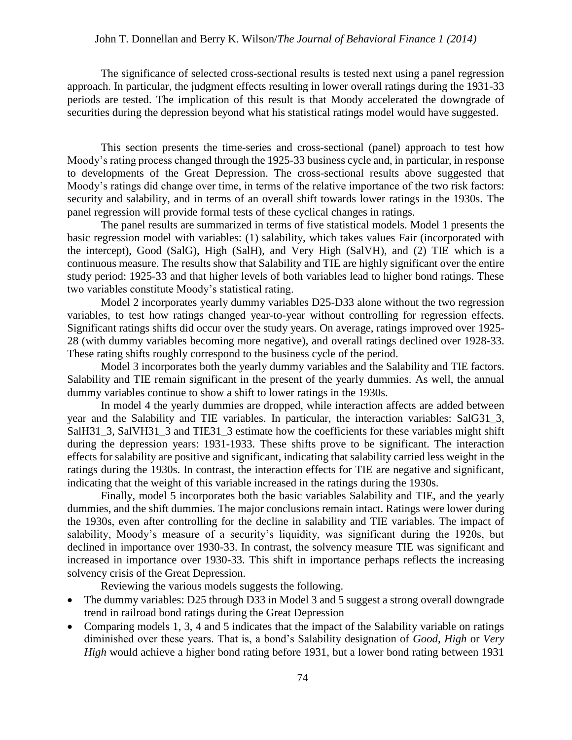## John T. Donnellan and Berry K. Wilson/*The Journal of Behavioral Finance 1 (2014)*

The significance of selected cross-sectional results is tested next using a panel regression approach. In particular, the judgment effects resulting in lower overall ratings during the 1931-33 periods are tested. The implication of this result is that Moody accelerated the downgrade of securities during the depression beyond what his statistical ratings model would have suggested.

This section presents the time-series and cross-sectional (panel) approach to test how Moody's rating process changed through the 1925-33 business cycle and, in particular, in response to developments of the Great Depression. The cross-sectional results above suggested that Moody's ratings did change over time, in terms of the relative importance of the two risk factors: security and salability, and in terms of an overall shift towards lower ratings in the 1930s. The panel regression will provide formal tests of these cyclical changes in ratings.

The panel results are summarized in terms of five statistical models. Model 1 presents the basic regression model with variables: (1) salability, which takes values Fair (incorporated with the intercept), Good (SalG), High (SalH), and Very High (SalVH), and (2) TIE which is a continuous measure. The results show that Salability and TIE are highly significant over the entire study period: 1925-33 and that higher levels of both variables lead to higher bond ratings. These two variables constitute Moody's statistical rating.

Model 2 incorporates yearly dummy variables D25-D33 alone without the two regression variables, to test how ratings changed year-to-year without controlling for regression effects. Significant ratings shifts did occur over the study years. On average, ratings improved over 1925- 28 (with dummy variables becoming more negative), and overall ratings declined over 1928-33. These rating shifts roughly correspond to the business cycle of the period.

Model 3 incorporates both the yearly dummy variables and the Salability and TIE factors. Salability and TIE remain significant in the present of the yearly dummies. As well, the annual dummy variables continue to show a shift to lower ratings in the 1930s.

In model 4 the yearly dummies are dropped, while interaction affects are added between year and the Salability and TIE variables. In particular, the interaction variables: SalG31\_3, SalH31\_3, SalVH31\_3 and TIE31\_3 estimate how the coefficients for these variables might shift during the depression years: 1931-1933. These shifts prove to be significant. The interaction effects for salability are positive and significant, indicating that salability carried less weight in the ratings during the 1930s. In contrast, the interaction effects for TIE are negative and significant, indicating that the weight of this variable increased in the ratings during the 1930s.

Finally, model 5 incorporates both the basic variables Salability and TIE, and the yearly dummies, and the shift dummies. The major conclusions remain intact. Ratings were lower during the 1930s, even after controlling for the decline in salability and TIE variables. The impact of salability, Moody's measure of a security's liquidity, was significant during the 1920s, but declined in importance over 1930-33. In contrast, the solvency measure TIE was significant and increased in importance over 1930-33. This shift in importance perhaps reflects the increasing solvency crisis of the Great Depression.

Reviewing the various models suggests the following.

- The dummy variables: D25 through D33 in Model 3 and 5 suggest a strong overall downgrade trend in railroad bond ratings during the Great Depression
- Comparing models 1, 3, 4 and 5 indicates that the impact of the Salability variable on ratings diminished over these years. That is, a bond's Salability designation of *Good*, *High* or *Very High* would achieve a higher bond rating before 1931, but a lower bond rating between 1931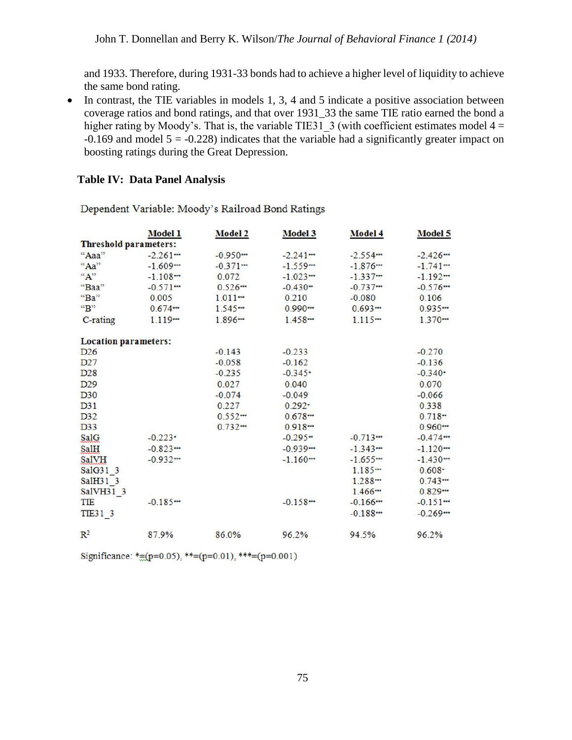and 1933. Therefore, during 1931-33 bonds had to achieve a higher level of liquidity to achieve the same bond rating.

• In contrast, the TIE variables in models 1, 3, 4 and 5 indicate a positive association between coverage ratios and bond ratings, and that over 1931\_33 the same TIE ratio earned the bond a higher rating by Moody's. That is, the variable TIE31\_3 (with coefficient estimates model  $4 =$  $-0.169$  and model  $5 = -0.228$ ) indicates that the variable had a significantly greater impact on boosting ratings during the Great Depression.

# **Table IV: Data Panel Analysis**

|                              | Model 1  | <b>Model 2</b> | Model 3      | <b>Model 4</b> | Model 5               |
|------------------------------|----------|----------------|--------------|----------------|-----------------------|
| <b>Threshold parameters:</b> |          |                |              |                |                       |
| "Aaa"                        | $-2.261$ | $-0.950$       | $-2.241$ $-$ | $-2.554$       | $-2.426$              |
| $Aa$ <sup>22</sup>           | $-1.609$ | $-0.371$       | $-1.559$     | $-1.876$       | $-1.741$              |
| $A$ <sup>32</sup>            | $-1.108$ | 0.072          | $-1.023$     | $-1.337$       | $-1.192$              |
| "Baa"                        | $-0.571$ | 0.526          | $-0.430+$    | $-0.737$       | $-0.576$              |
| "Ba"                         | 0.005    | 1.011          | 0.210        | $-0.080$       | 0.106                 |
| ${}^{\text{cc}}B$ "          | 0.674    | 1.545          | $0.990 -$    | $0.693 -$      | 0.935                 |
| C-rating                     | 1.119    | 1.896          | 1.458        | 1.115          | 1.370                 |
| <b>Location parameters:</b>  |          |                |              |                |                       |
| D <sub>26</sub>              |          | $-0.143$       | $-0.233$     |                | $-0.270$              |
| D27                          |          | $-0.058$       | $-0.162$     |                | $-0.136$              |
| D <sub>28</sub>              |          | $-0.235$       | $-0.345$     |                | $-0.340$ <sup>*</sup> |
| D <sub>29</sub>              |          | 0.027          | 0.040        |                | 0.070                 |
| D30                          |          | $-0.074$       | $-0.049$     |                | $-0.066$              |
| D31                          |          | 0.227          | $0.292 -$    |                | 0.338                 |
| D32                          |          | 0.552          | $0.678 -$    |                | $0.718 -$             |
| D33                          |          | 0.732          | 0.918        |                | 0.960                 |
| SalG                         | $-0.223$ |                | $-0.295 -$   | $-0.713$       | $-0.474$              |
| SalH                         | $-0.823$ |                | $-0.939$     | $-1.343$       | $-1.120$              |
| <b>SalVH</b>                 | $-0.932$ |                | $-1.160$     | $-1.655$       | $-1.430$              |
| SalG31 3                     |          |                |              | 1.185          | $0.608 -$             |
| SalH31 3                     |          |                |              | 1.288          | 0.743                 |
| SalVH31 3                    |          |                |              | 1.466          | 0.829                 |
| TIE                          | $-0.185$ |                | $-0.158$     | $-0.166$       | $-0.151$              |
| TIE31 3                      |          |                |              | $-0.188$       | $-0.269$              |
| $\mathbb{R}^2$               | 87.9%    | 86.0%          | 96.2%        | 94.5%          | 96.2%                 |

Dependent Variable: Moody's Railroad Bond Ratings

Significance: \*= ( $p=0.05$ ), \*\*= ( $p=0.01$ ), \*\*\*= ( $p=0.001$ )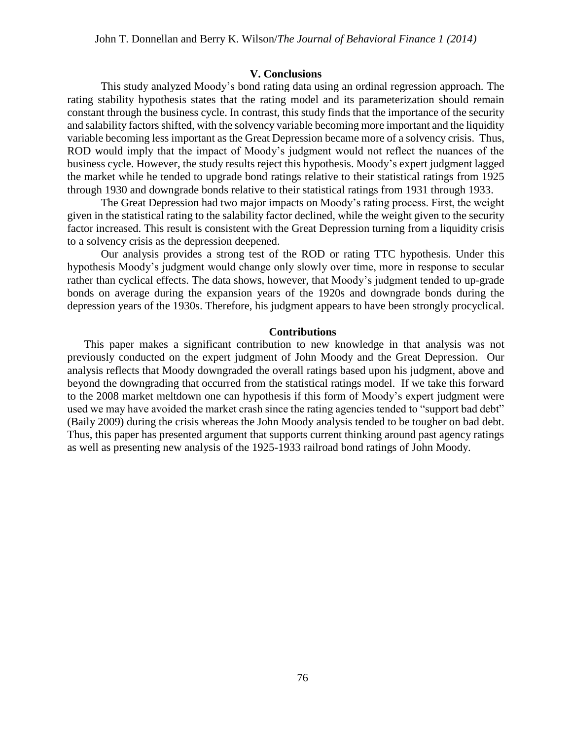#### **V. Conclusions**

This study analyzed Moody's bond rating data using an ordinal regression approach. The rating stability hypothesis states that the rating model and its parameterization should remain constant through the business cycle. In contrast, this study finds that the importance of the security and salability factors shifted, with the solvency variable becoming more important and the liquidity variable becoming less important as the Great Depression became more of a solvency crisis. Thus, ROD would imply that the impact of Moody's judgment would not reflect the nuances of the business cycle. However, the study results reject this hypothesis. Moody's expert judgment lagged the market while he tended to upgrade bond ratings relative to their statistical ratings from 1925 through 1930 and downgrade bonds relative to their statistical ratings from 1931 through 1933.

The Great Depression had two major impacts on Moody's rating process. First, the weight given in the statistical rating to the salability factor declined, while the weight given to the security factor increased. This result is consistent with the Great Depression turning from a liquidity crisis to a solvency crisis as the depression deepened.

Our analysis provides a strong test of the ROD or rating TTC hypothesis. Under this hypothesis Moody's judgment would change only slowly over time, more in response to secular rather than cyclical effects. The data shows, however, that Moody's judgment tended to up-grade bonds on average during the expansion years of the 1920s and downgrade bonds during the depression years of the 1930s. Therefore, his judgment appears to have been strongly procyclical.

#### **Contributions**

This paper makes a significant contribution to new knowledge in that analysis was not previously conducted on the expert judgment of John Moody and the Great Depression. Our analysis reflects that Moody downgraded the overall ratings based upon his judgment, above and beyond the downgrading that occurred from the statistical ratings model. If we take this forward to the 2008 market meltdown one can hypothesis if this form of Moody's expert judgment were used we may have avoided the market crash since the rating agencies tended to "support bad debt" [\(Baily 2009\)](#page-15-11) during the crisis whereas the John Moody analysis tended to be tougher on bad debt. Thus, this paper has presented argument that supports current thinking around past agency ratings as well as presenting new analysis of the 1925-1933 railroad bond ratings of John Moody.